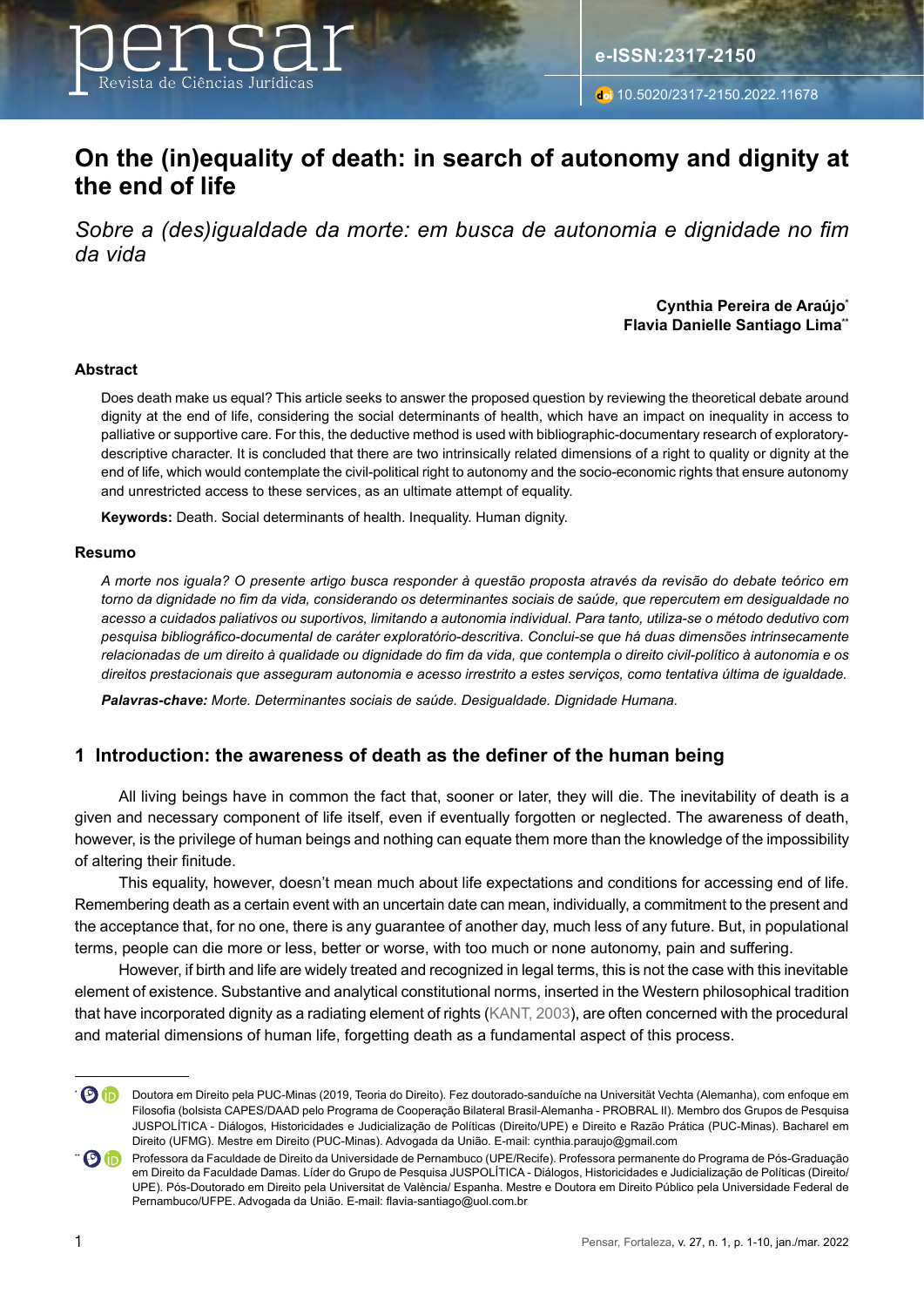

# **On the (in)equality of death: in search of autonomy and dignity at the end of life**

*Sobre a (des)igualdade da morte: em busca de autonomia e dignidade no fim da vida*

#### **Cynthia Pereira de Araújo\* Flavia Danielle Santiago Lima\*\***

#### **Abstract**

Does death make us equal? This article seeks to answer the proposed question by reviewing the theoretical debate around dignity at the end of life, considering the social determinants of health, which have an impact on inequality in access to palliative or supportive care. For this, the deductive method is used with bibliographic-documentary research of exploratorydescriptive character. It is concluded that there are two intrinsically related dimensions of a right to quality or dignity at the end of life, which would contemplate the civil-political right to autonomy and the socio-economic rights that ensure autonomy and unrestricted access to these services, as an ultimate attempt of equality.

**Keywords:** Death. Social determinants of health. Inequality. Human dignity.

#### **Resumo**

*A morte nos iguala? O presente artigo busca responder à questão proposta através da revisão do debate teórico em torno da dignidade no fim da vida, considerando os determinantes sociais de saúde, que repercutem em desigualdade no acesso a cuidados paliativos ou suportivos, limitando a autonomia individual. Para tanto, utiliza-se o método dedutivo com pesquisa bibliográfico-documental de caráter exploratório-descritiva. Conclui-se que há duas dimensões intrinsecamente relacionadas de um direito à qualidade ou dignidade do fim da vida, que contempla o direito civil-político à autonomia e os direitos prestacionais que asseguram autonomia e acesso irrestrito a estes serviços, como tentativa última de igualdade.* 

*Palavras-chave: Morte. Determinantes sociais de saúde. Desigualdade. Dignidade Humana.* 

### **1 Introduction: the awareness of death as the definer of the human being**

All living beings have in common the fact that, sooner or later, they will die. The inevitability of death is a given and necessary component of life itself, even if eventually forgotten or neglected. The awareness of death, however, is the privilege of human beings and nothing can equate them more than the knowledge of the impossibility of altering their finitude.

This equality, however, doesn't mean much about life expectations and conditions for accessing end of life. Remembering death as a certain event with an uncertain date can mean, individually, a commitment to the present and the acceptance that, for no one, there is any guarantee of another day, much less of any future. But, in populational terms, people can die more or less, better or worse, with too much or none autonomy, pain and suffering.

However, if birth and life are widely treated and recognized in legal terms, this is not the case with this inevitable element of existence. Substantive and analytical constitutional norms, inserted in the Western philosophical tradition that have incorporated dignity as a radiating element of rights (KANT, 2003), are often concerned with the procedural and material dimensions of human life, forgetting death as a fundamental aspect of this process.

**<sup>(</sup>D)** Doutora em Direito pela PUC-Minas (2019, Teoria do Direito). Fez doutorado-sanduíche na Universität Vechta (Alemanha), com enfoque em Filosofia (bolsista CAPES/DAAD pelo Programa de Cooperação Bilateral Brasil-Alemanha - PROBRAL II). Membro dos Grupos de Pesquisa JUSPOLÍTICA - Diálogos, Historicidades e Judicialização de Políticas (Direito/UPE) e Direito e Razão Prática (PUC-Minas). Bacharel em Direito (UFMG). Mestre em Direito (PUC-Minas). Advogada da União. E-mail: cynthia.paraujo@gmail.com

<sup>\*\*</sup> **Professora da Faculdade de Direito da Universidade de Pernambuco (UPE/Recife). Professora permanente do Programa de Pós-Graduação** em Direito da Faculdade Damas. Líder do Grupo de Pesquisa JUSPOLÍTICA - Diálogos, Historicidades e Judicialização de Políticas (Direito/ UPE). Pós-Doutorado em Direito pela Universitat de València/ Espanha. Mestre e Doutora em Direito Público pela Universidade Federal de Pernambuco/UFPE. Advogada da União. E-mail: flavia-santiago@uol.com.br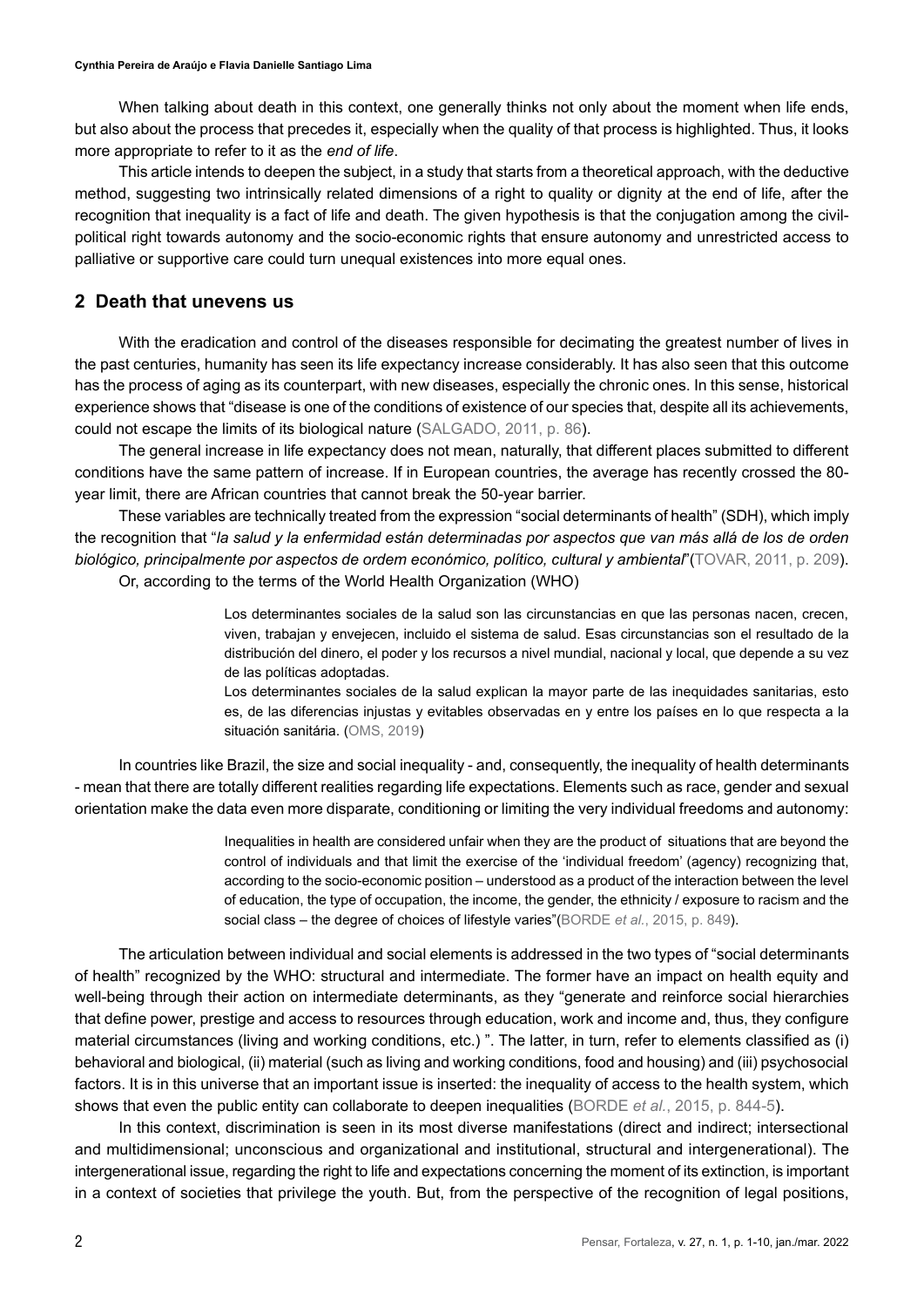When talking about death in this context, one generally thinks not only about the moment when life ends, but also about the process that precedes it, especially when the quality of that process is highlighted. Thus, it looks more appropriate to refer to it as the *end of life*.

This article intends to deepen the subject, in a study that starts from a theoretical approach, with the deductive method, suggesting two intrinsically related dimensions of a right to quality or dignity at the end of life, after the recognition that inequality is a fact of life and death. The given hypothesis is that the conjugation among the civilpolitical right towards autonomy and the socio-economic rights that ensure autonomy and unrestricted access to palliative or supportive care could turn unequal existences into more equal ones.

## **2 Death that unevens us**

With the eradication and control of the diseases responsible for decimating the greatest number of lives in the past centuries, humanity has seen its life expectancy increase considerably. It has also seen that this outcome has the process of aging as its counterpart, with new diseases, especially the chronic ones. In this sense, historical experience shows that "disease is one of the conditions of existence of our species that, despite all its achievements, could not escape the limits of its biological nature (SALGADO, 2011, p. 86).

The general increase in life expectancy does not mean, naturally, that different places submitted to different conditions have the same pattern of increase. If in European countries, the average has recently crossed the 80 year limit, there are African countries that cannot break the 50-year barrier.

These variables are technically treated from the expression "social determinants of health" (SDH), which imply the recognition that "*la salud y la enfermidad están determinadas por aspectos que van más allá de los de orden biológico, principalmente por aspectos de ordem económico, político, cultural y ambiental*"(TOVAR, 2011, p. 209). Or, according to the terms of the World Health Organization (WHO)

> Los determinantes sociales de la salud son las circunstancias en que las personas nacen, crecen, viven, trabajan y envejecen, incluido el sistema de salud. Esas circunstancias son el resultado de la distribución del dinero, el poder y los recursos a nivel mundial, nacional y local, que depende a su vez de las políticas adoptadas.

> Los determinantes sociales de la salud explican la mayor parte de las inequidades sanitarias, esto es, de las diferencias injustas y evitables observadas en y entre los países en lo que respecta a la situación sanitária. (OMS, 2019)

In countries like Brazil, the size and social inequality - and, consequently, the inequality of health determinants - mean that there are totally different realities regarding life expectations. Elements such as race, gender and sexual orientation make the data even more disparate, conditioning or limiting the very individual freedoms and autonomy:

> Inequalities in health are considered unfair when they are the product of situations that are beyond the control of individuals and that limit the exercise of the 'individual freedom' (agency) recognizing that, according to the socio-economic position – understood as a product of the interaction between the level of education, the type of occupation, the income, the gender, the ethnicity / exposure to racism and the social class – the degree of choices of lifestyle varies"(BORDE *et al.*, 2015, p. 849).

The articulation between individual and social elements is addressed in the two types of "social determinants of health" recognized by the WHO: structural and intermediate. The former have an impact on health equity and well-being through their action on intermediate determinants, as they "generate and reinforce social hierarchies that define power, prestige and access to resources through education, work and income and, thus, they configure material circumstances (living and working conditions, etc.) ". The latter, in turn, refer to elements classified as (i) behavioral and biological, (ii) material (such as living and working conditions, food and housing) and (iii) psychosocial factors. It is in this universe that an important issue is inserted: the inequality of access to the health system, which shows that even the public entity can collaborate to deepen inequalities (BORDE *et al.*, 2015, p. 844-5).

In this context, discrimination is seen in its most diverse manifestations (direct and indirect; intersectional and multidimensional; unconscious and organizational and institutional, structural and intergenerational). The intergenerational issue, regarding the right to life and expectations concerning the moment of its extinction, is important in a context of societies that privilege the youth. But, from the perspective of the recognition of legal positions,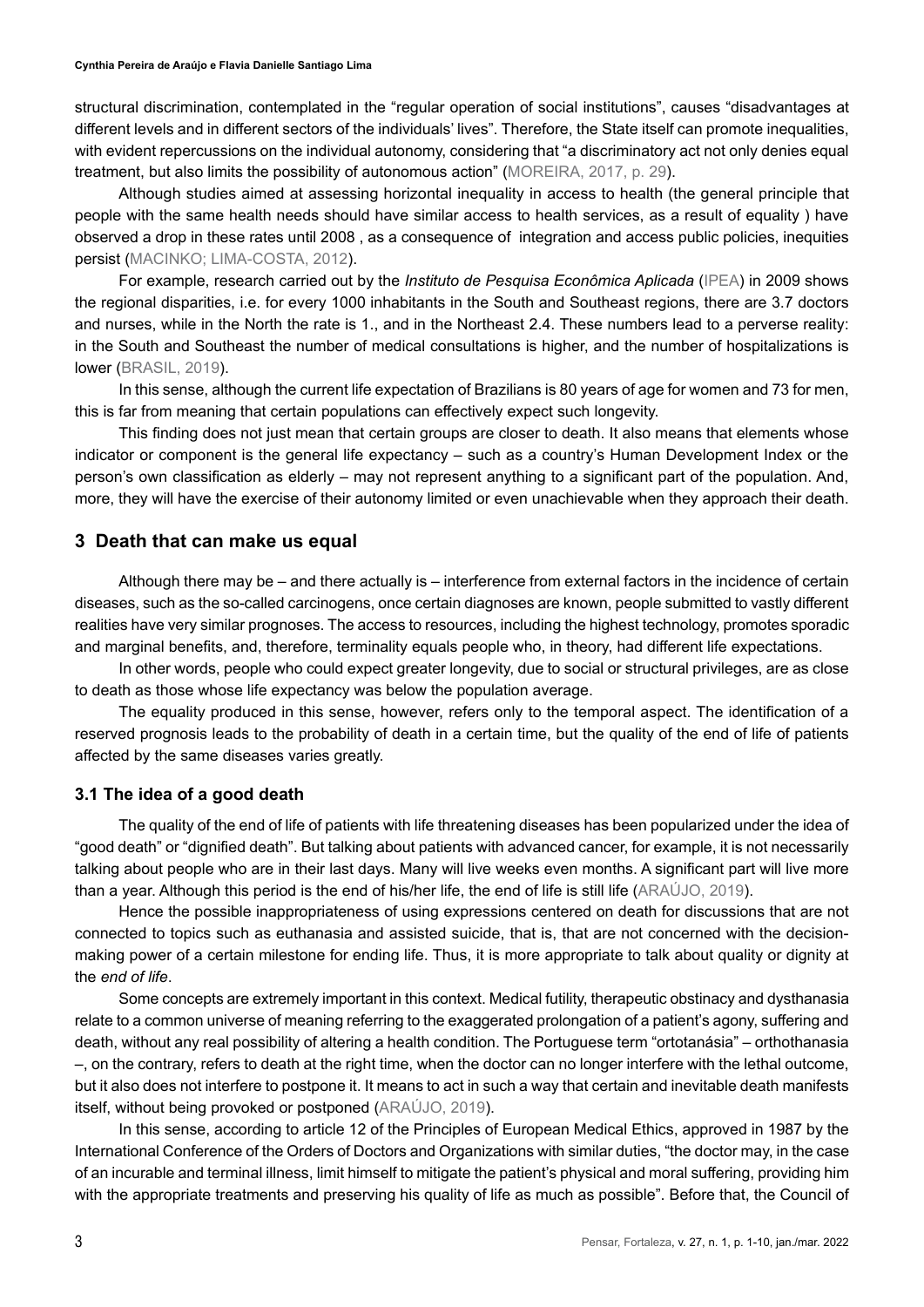**Cynthia Pereira de Araújo e Flavia Danielle Santiago Lima**

structural discrimination, contemplated in the "regular operation of social institutions", causes "disadvantages at different levels and in different sectors of the individuals' lives". Therefore, the State itself can promote inequalities, with evident repercussions on the individual autonomy, considering that "a discriminatory act not only denies equal treatment, but also limits the possibility of autonomous action" (MOREIRA, 2017, p. 29).

Although studies aimed at assessing horizontal inequality in access to health (the general principle that people with the same health needs should have similar access to health services, as a result of equality ) have observed a drop in these rates until 2008 , as a consequence of integration and access public policies, inequities persist (MACINKO; LIMA-COSTA, 2012).

For example, research carried out by the *Instituto de Pesquisa Econômica Aplicada* (IPEA) in 2009 shows the regional disparities, i.e. for every 1000 inhabitants in the South and Southeast regions, there are 3.7 doctors and nurses, while in the North the rate is 1., and in the Northeast 2.4. These numbers lead to a perverse reality: in the South and Southeast the number of medical consultations is higher, and the number of hospitalizations is lower (BRASIL, 2019).

In this sense, although the current life expectation of Brazilians is 80 years of age for women and 73 for men, this is far from meaning that certain populations can effectively expect such longevity.

This finding does not just mean that certain groups are closer to death. It also means that elements whose indicator or component is the general life expectancy – such as a country's Human Development Index or the person's own classification as elderly – may not represent anything to a significant part of the population. And, more, they will have the exercise of their autonomy limited or even unachievable when they approach their death.

#### **3 Death that can make us equal**

Although there may be – and there actually is – interference from external factors in the incidence of certain diseases, such as the so-called carcinogens, once certain diagnoses are known, people submitted to vastly different realities have very similar prognoses. The access to resources, including the highest technology, promotes sporadic and marginal benefits, and, therefore, terminality equals people who, in theory, had different life expectations.

In other words, people who could expect greater longevity, due to social or structural privileges, are as close to death as those whose life expectancy was below the population average.

The equality produced in this sense, however, refers only to the temporal aspect. The identification of a reserved prognosis leads to the probability of death in a certain time, but the quality of the end of life of patients affected by the same diseases varies greatly.

## **3.1 The idea of a good death**

The quality of the end of life of patients with life threatening diseases has been popularized under the idea of "good death" or "dignified death". But talking about patients with advanced cancer, for example, it is not necessarily talking about people who are in their last days. Many will live weeks even months. A significant part will live more than a year. Although this period is the end of his/her life, the end of life is still life (ARAÚJO, 2019).

Hence the possible inappropriateness of using expressions centered on death for discussions that are not connected to topics such as euthanasia and assisted suicide, that is, that are not concerned with the decisionmaking power of a certain milestone for ending life. Thus, it is more appropriate to talk about quality or dignity at the *end of life*.

Some concepts are extremely important in this context. Medical futility, therapeutic obstinacy and dysthanasia relate to a common universe of meaning referring to the exaggerated prolongation of a patient's agony, suffering and death, without any real possibility of altering a health condition. The Portuguese term "ortotanásia" – orthothanasia –, on the contrary, refers to death at the right time, when the doctor can no longer interfere with the lethal outcome, but it also does not interfere to postpone it. It means to act in such a way that certain and inevitable death manifests itself, without being provoked or postponed (ARAÚJO, 2019).

In this sense, according to article 12 of the Principles of European Medical Ethics, approved in 1987 by the International Conference of the Orders of Doctors and Organizations with similar duties, "the doctor may, in the case of an incurable and terminal illness, limit himself to mitigate the patient's physical and moral suffering, providing him with the appropriate treatments and preserving his quality of life as much as possible". Before that, the Council of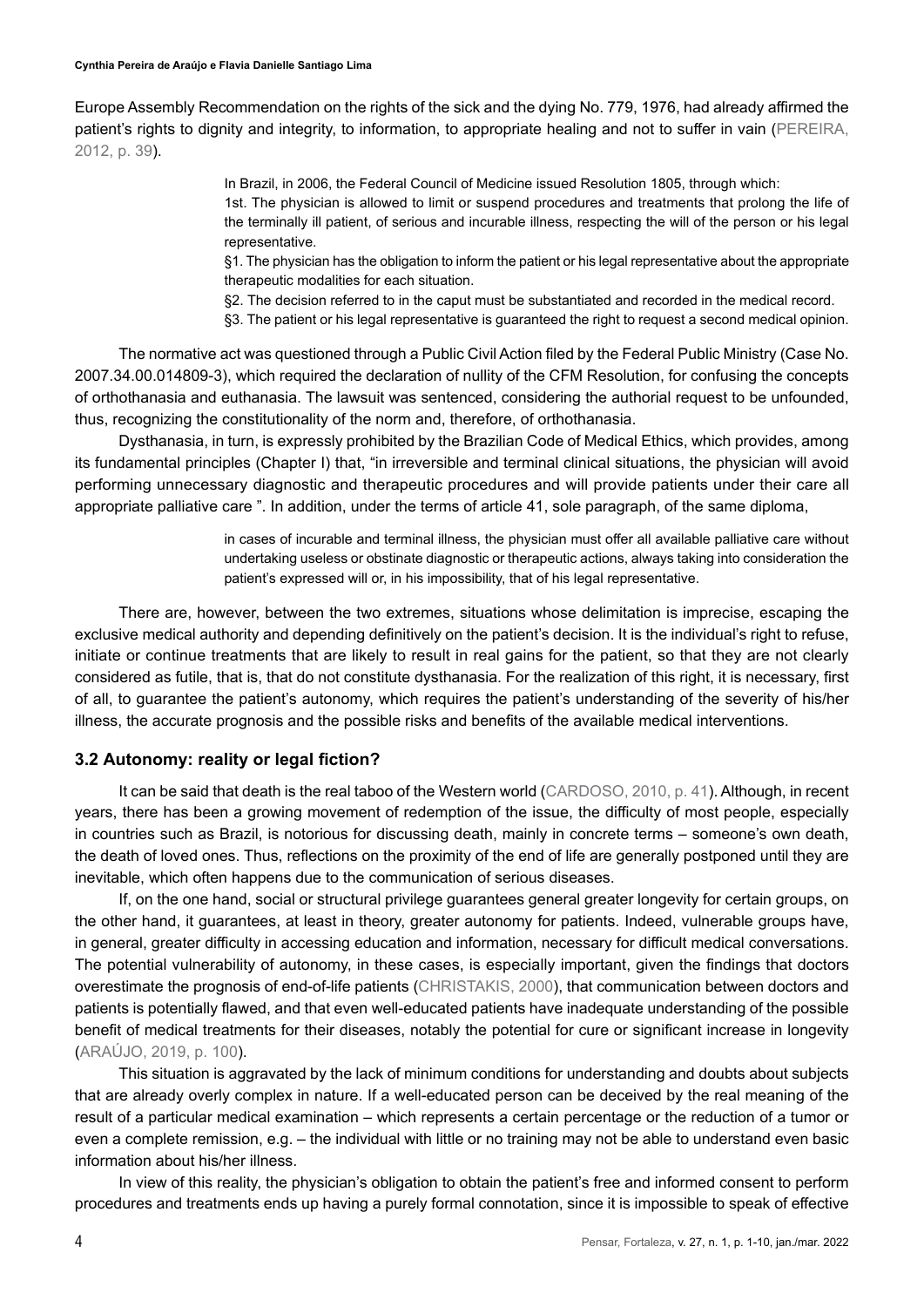Europe Assembly Recommendation on the rights of the sick and the dying No. 779, 1976, had already affirmed the patient's rights to dignity and integrity, to information, to appropriate healing and not to suffer in vain (PEREIRA, 2012, p. 39).

> In Brazil, in 2006, the Federal Council of Medicine issued Resolution 1805, through which: 1st. The physician is allowed to limit or suspend procedures and treatments that prolong the life of the terminally ill patient, of serious and incurable illness, respecting the will of the person or his legal representative.

> §1. The physician has the obligation to inform the patient or his legal representative about the appropriate therapeutic modalities for each situation.

§2. The decision referred to in the caput must be substantiated and recorded in the medical record.

§3. The patient or his legal representative is guaranteed the right to request a second medical opinion.

The normative act was questioned through a Public Civil Action filed by the Federal Public Ministry (Case No. 2007.34.00.014809-3), which required the declaration of nullity of the CFM Resolution, for confusing the concepts of orthothanasia and euthanasia. The lawsuit was sentenced, considering the authorial request to be unfounded, thus, recognizing the constitutionality of the norm and, therefore, of orthothanasia.

Dysthanasia, in turn, is expressly prohibited by the Brazilian Code of Medical Ethics, which provides, among its fundamental principles (Chapter I) that, "in irreversible and terminal clinical situations, the physician will avoid performing unnecessary diagnostic and therapeutic procedures and will provide patients under their care all appropriate palliative care ". In addition, under the terms of article 41, sole paragraph, of the same diploma,

> in cases of incurable and terminal illness, the physician must offer all available palliative care without undertaking useless or obstinate diagnostic or therapeutic actions, always taking into consideration the patient's expressed will or, in his impossibility, that of his legal representative.

There are, however, between the two extremes, situations whose delimitation is imprecise, escaping the exclusive medical authority and depending definitively on the patient's decision. It is the individual's right to refuse, initiate or continue treatments that are likely to result in real gains for the patient, so that they are not clearly considered as futile, that is, that do not constitute dysthanasia. For the realization of this right, it is necessary, first of all, to guarantee the patient's autonomy, which requires the patient's understanding of the severity of his/her illness, the accurate prognosis and the possible risks and benefits of the available medical interventions.

#### **3.2 Autonomy: reality or legal fiction?**

It can be said that death is the real taboo of the Western world (CARDOSO, 2010, p. 41). Although, in recent years, there has been a growing movement of redemption of the issue, the difficulty of most people, especially in countries such as Brazil, is notorious for discussing death, mainly in concrete terms – someone's own death, the death of loved ones. Thus, reflections on the proximity of the end of life are generally postponed until they are inevitable, which often happens due to the communication of serious diseases.

If, on the one hand, social or structural privilege guarantees general greater longevity for certain groups, on the other hand, it guarantees, at least in theory, greater autonomy for patients. Indeed, vulnerable groups have, in general, greater difficulty in accessing education and information, necessary for difficult medical conversations. The potential vulnerability of autonomy, in these cases, is especially important, given the findings that doctors overestimate the prognosis of end-of-life patients (CHRISTAKIS, 2000), that communication between doctors and patients is potentially flawed, and that even well-educated patients have inadequate understanding of the possible benefit of medical treatments for their diseases, notably the potential for cure or significant increase in longevity (ARAÚJO, 2019, p. 100).

This situation is aggravated by the lack of minimum conditions for understanding and doubts about subjects that are already overly complex in nature. If a well-educated person can be deceived by the real meaning of the result of a particular medical examination – which represents a certain percentage or the reduction of a tumor or even a complete remission, e.g. – the individual with little or no training may not be able to understand even basic information about his/her illness.

In view of this reality, the physician's obligation to obtain the patient's free and informed consent to perform procedures and treatments ends up having a purely formal connotation, since it is impossible to speak of effective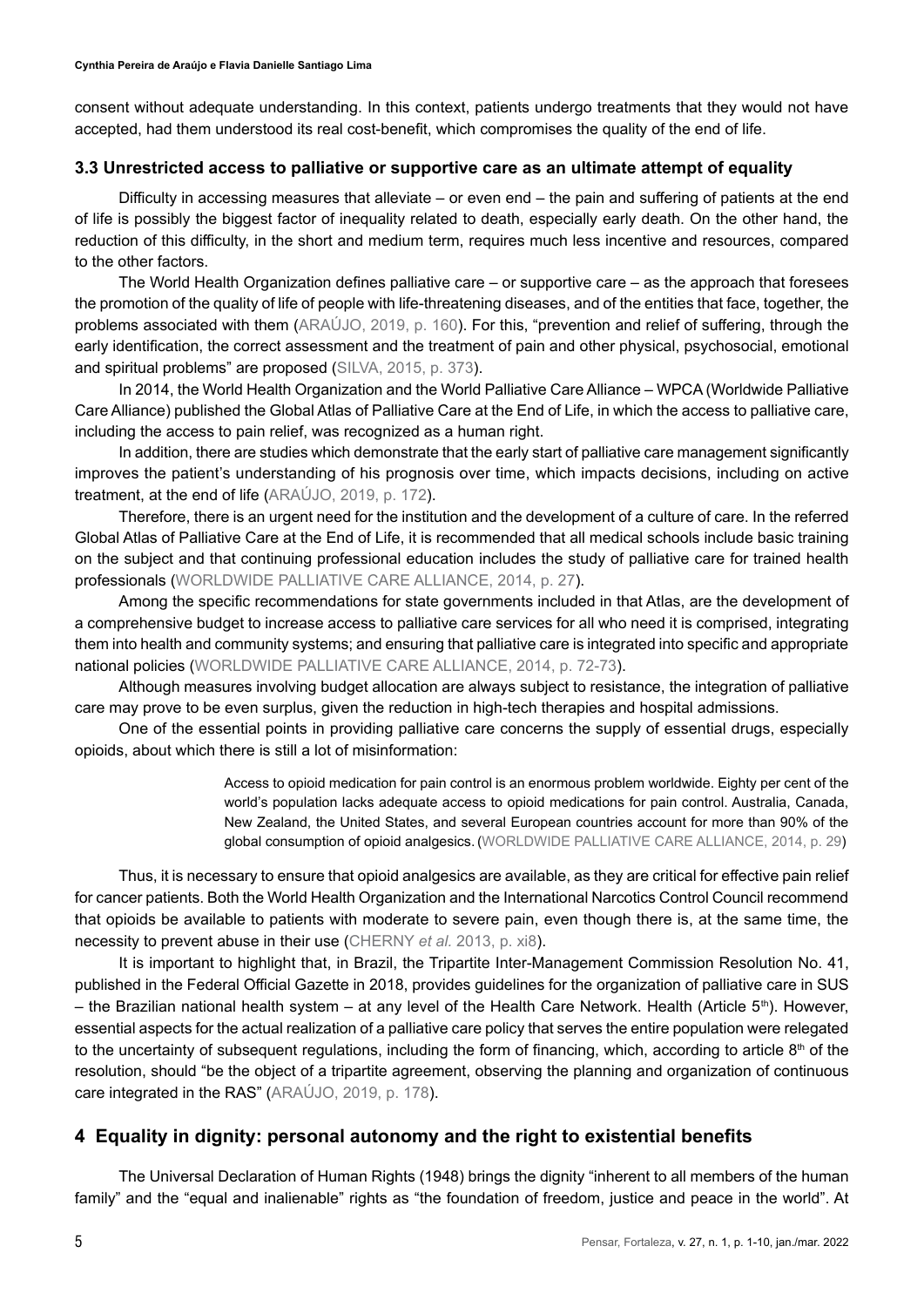consent without adequate understanding. In this context, patients undergo treatments that they would not have accepted, had them understood its real cost-benefit, which compromises the quality of the end of life.

#### **3.3 Unrestricted access to palliative or supportive care as an ultimate attempt of equality**

Difficulty in accessing measures that alleviate – or even end – the pain and suffering of patients at the end of life is possibly the biggest factor of inequality related to death, especially early death. On the other hand, the reduction of this difficulty, in the short and medium term, requires much less incentive and resources, compared to the other factors.

The World Health Organization defines palliative care – or supportive care – as the approach that foresees the promotion of the quality of life of people with life-threatening diseases, and of the entities that face, together, the problems associated with them (ARAÚJO, 2019, p. 160). For this, "prevention and relief of suffering, through the early identification, the correct assessment and the treatment of pain and other physical, psychosocial, emotional and spiritual problems" are proposed (SILVA, 2015, p. 373).

In 2014, the World Health Organization and the World Palliative Care Alliance – WPCA (Worldwide Palliative Care Alliance) published the Global Atlas of Palliative Care at the End of Life, in which the access to palliative care, including the access to pain relief, was recognized as a human right.

In addition, there are studies which demonstrate that the early start of palliative care management significantly improves the patient's understanding of his prognosis over time, which impacts decisions, including on active treatment, at the end of life (ARAÚJO, 2019, p. 172).

Therefore, there is an urgent need for the institution and the development of a culture of care. In the referred Global Atlas of Palliative Care at the End of Life, it is recommended that all medical schools include basic training on the subject and that continuing professional education includes the study of palliative care for trained health professionals (WORLDWIDE PALLIATIVE CARE ALLIANCE, 2014, p. 27).

Among the specific recommendations for state governments included in that Atlas, are the development of a comprehensive budget to increase access to palliative care services for all who need it is comprised, integrating them into health and community systems; and ensuring that palliative care is integrated into specific and appropriate national policies (WORLDWIDE PALLIATIVE CARE ALLIANCE, 2014, p. 72-73).

Although measures involving budget allocation are always subject to resistance, the integration of palliative care may prove to be even surplus, given the reduction in high-tech therapies and hospital admissions.

One of the essential points in providing palliative care concerns the supply of essential drugs, especially opioids, about which there is still a lot of misinformation:

> Access to opioid medication for pain control is an enormous problem worldwide. Eighty per cent of the world's population lacks adequate access to opioid medications for pain control. Australia, Canada, New Zealand, the United States, and several European countries account for more than 90% of the global consumption of opioid analgesics.(WORLDWIDE PALLIATIVE CARE ALLIANCE, 2014, p. 29)

Thus, it is necessary to ensure that opioid analgesics are available, as they are critical for effective pain relief for cancer patients. Both the World Health Organization and the International Narcotics Control Council recommend that opioids be available to patients with moderate to severe pain, even though there is, at the same time, the necessity to prevent abuse in their use (CHERNY *et al.* 2013, p. xi8).

It is important to highlight that, in Brazil, the Tripartite Inter-Management Commission Resolution No. 41, published in the Federal Official Gazette in 2018, provides guidelines for the organization of palliative care in SUS – the Brazilian national health system – at any level of the Health Care Network. Health (Article 5<sup>th</sup>). However, essential aspects for the actual realization of a palliative care policy that serves the entire population were relegated to the uncertainty of subsequent regulations, including the form of financing, which, according to article  $8<sup>th</sup>$  of the resolution, should "be the object of a tripartite agreement, observing the planning and organization of continuous care integrated in the RAS" (ARAÚJO, 2019, p. 178).

# **4 Equality in dignity: personal autonomy and the right to existential benefits**

The Universal Declaration of Human Rights (1948) brings the dignity "inherent to all members of the human family" and the "equal and inalienable" rights as "the foundation of freedom, justice and peace in the world". At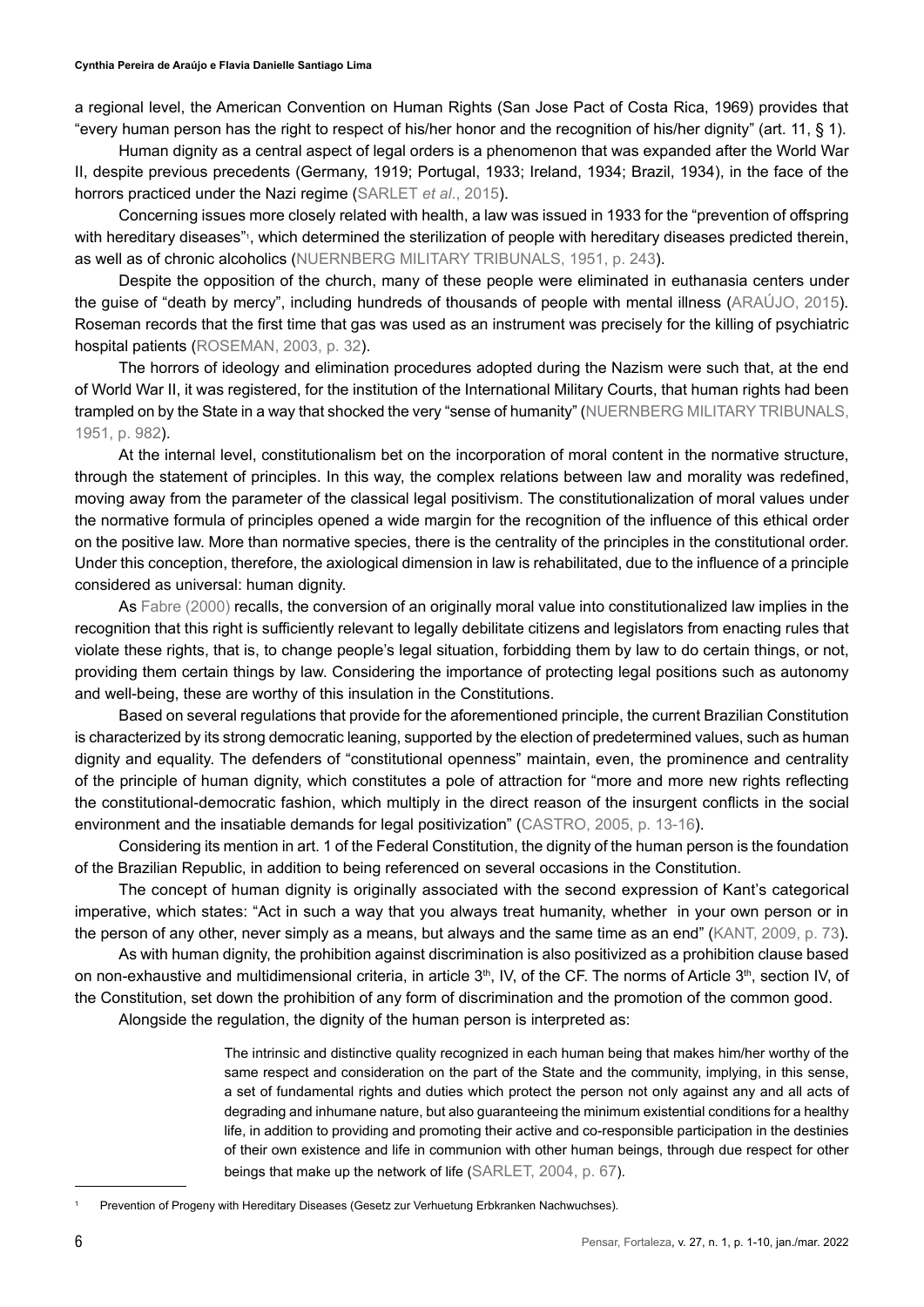a regional level, the American Convention on Human Rights (San Jose Pact of Costa Rica, 1969) provides that "every human person has the right to respect of his/her honor and the recognition of his/her dignity" (art. 11, § 1).

Human dignity as a central aspect of legal orders is a phenomenon that was expanded after the World War II, despite previous precedents (Germany, 1919; Portugal, 1933; Ireland, 1934; Brazil, 1934), in the face of the horrors practiced under the Nazi regime (SARLET *et al*., 2015).

Concerning issues more closely related with health, a law was issued in 1933 for the "prevention of offspring with hereditary diseases"<sup>,</sup> which determined the sterilization of people with hereditary diseases predicted therein, as well as of chronic alcoholics (NUERNBERG MILITARY TRIBUNALS, 1951, p. 243).

Despite the opposition of the church, many of these people were eliminated in euthanasia centers under the guise of "death by mercy", including hundreds of thousands of people with mental illness (ARAÚJO, 2015). Roseman records that the first time that gas was used as an instrument was precisely for the killing of psychiatric hospital patients (ROSEMAN, 2003, p. 32).

The horrors of ideology and elimination procedures adopted during the Nazism were such that, at the end of World War II, it was registered, for the institution of the International Military Courts, that human rights had been trampled on by the State in a way that shocked the very "sense of humanity" (NUERNBERG MILITARY TRIBUNALS, 1951, p. 982).

At the internal level, constitutionalism bet on the incorporation of moral content in the normative structure, through the statement of principles. In this way, the complex relations between law and morality was redefined, moving away from the parameter of the classical legal positivism. The constitutionalization of moral values under the normative formula of principles opened a wide margin for the recognition of the influence of this ethical order on the positive law. More than normative species, there is the centrality of the principles in the constitutional order. Under this conception, therefore, the axiological dimension in law is rehabilitated, due to the influence of a principle considered as universal: human dignity.

As Fabre (2000) recalls, the conversion of an originally moral value into constitutionalized law implies in the recognition that this right is sufficiently relevant to legally debilitate citizens and legislators from enacting rules that violate these rights, that is, to change people's legal situation, forbidding them by law to do certain things, or not, providing them certain things by law. Considering the importance of protecting legal positions such as autonomy and well-being, these are worthy of this insulation in the Constitutions.

Based on several regulations that provide for the aforementioned principle, the current Brazilian Constitution is characterized by its strong democratic leaning, supported by the election of predetermined values, such as human dignity and equality. The defenders of "constitutional openness" maintain, even, the prominence and centrality of the principle of human dignity, which constitutes a pole of attraction for "more and more new rights reflecting the constitutional-democratic fashion, which multiply in the direct reason of the insurgent conflicts in the social environment and the insatiable demands for legal positivization" (CASTRO, 2005, p. 13-16).

Considering its mention in art. 1 of the Federal Constitution, the dignity of the human person is the foundation of the Brazilian Republic, in addition to being referenced on several occasions in the Constitution.

The concept of human dignity is originally associated with the second expression of Kant's categorical imperative, which states: "Act in such a way that you always treat humanity, whether in your own person or in the person of any other, never simply as a means, but always and the same time as an end" (KANT, 2009, p. 73).

As with human dignity, the prohibition against discrimination is also positivized as a prohibition clause based on non-exhaustive and multidimensional criteria, in article 3<sup>th</sup>, IV, of the CF. The norms of Article 3<sup>th</sup>, section IV, of the Constitution, set down the prohibition of any form of discrimination and the promotion of the common good.

Alongside the regulation, the dignity of the human person is interpreted as:

The intrinsic and distinctive quality recognized in each human being that makes him/her worthy of the same respect and consideration on the part of the State and the community, implying, in this sense, a set of fundamental rights and duties which protect the person not only against any and all acts of degrading and inhumane nature, but also guaranteeing the minimum existential conditions for a healthy life, in addition to providing and promoting their active and co-responsible participation in the destinies of their own existence and life in communion with other human beings, through due respect for other beings that make up the network of life (SARLET, 2004, p. 67).

<sup>1</sup> Prevention of Progeny with Hereditary Diseases (Gesetz zur Verhuetung Erbkranken Nachwuchses).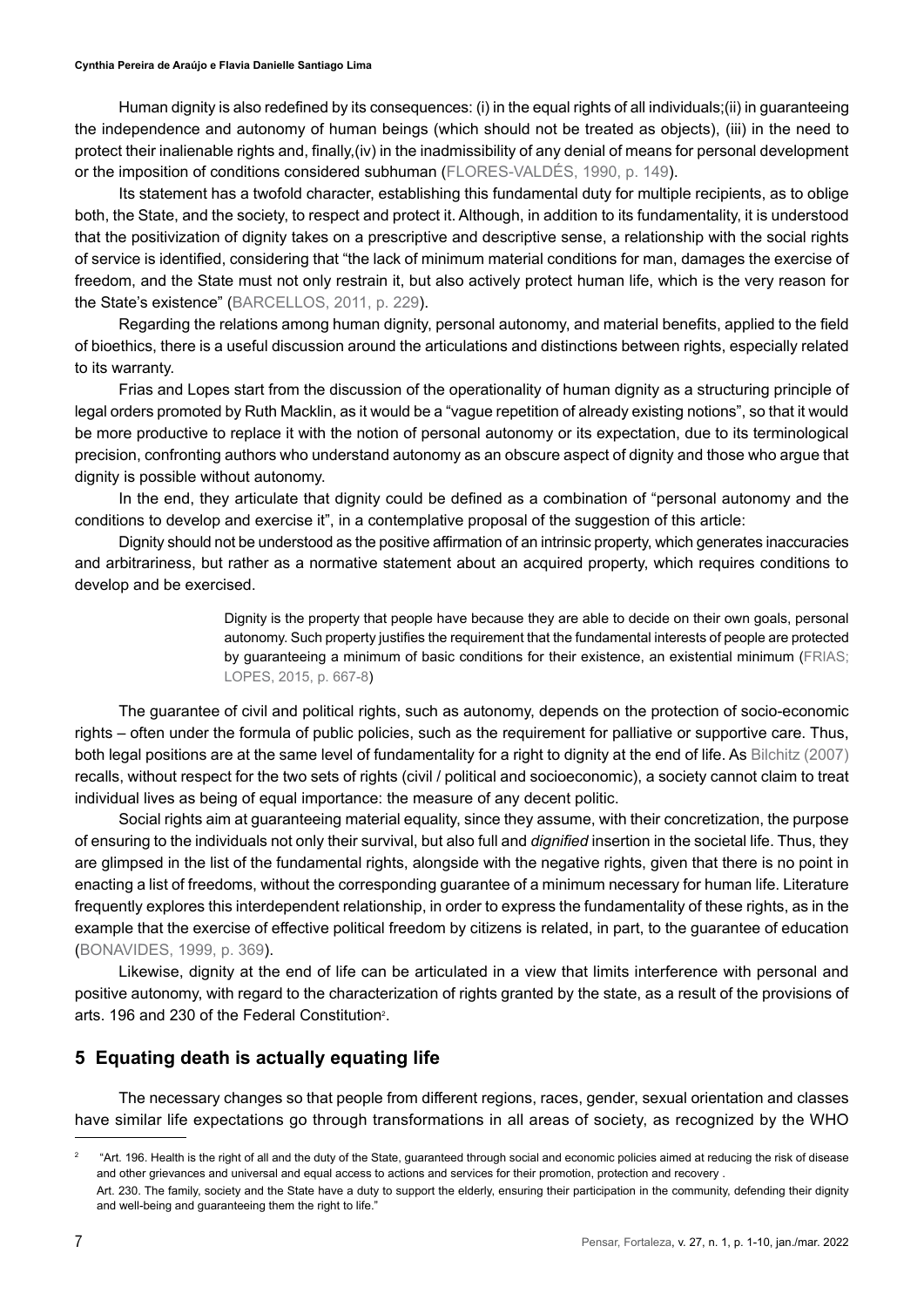Human dignity is also redefined by its consequences: (i) in the equal rights of all individuals;(ii) in guaranteeing the independence and autonomy of human beings (which should not be treated as objects), (iii) in the need to protect their inalienable rights and, finally,(iv) in the inadmissibility of any denial of means for personal development or the imposition of conditions considered subhuman (FLORES-VALDÉS, 1990, p. 149).

Its statement has a twofold character, establishing this fundamental duty for multiple recipients, as to oblige both, the State, and the society, to respect and protect it. Although, in addition to its fundamentality, it is understood that the positivization of dignity takes on a prescriptive and descriptive sense, a relationship with the social rights of service is identified, considering that "the lack of minimum material conditions for man, damages the exercise of freedom, and the State must not only restrain it, but also actively protect human life, which is the very reason for the State's existence" (BARCELLOS, 2011, p. 229).

Regarding the relations among human dignity, personal autonomy, and material benefits, applied to the field of bioethics, there is a useful discussion around the articulations and distinctions between rights, especially related to its warranty.

Frias and Lopes start from the discussion of the operationality of human dignity as a structuring principle of legal orders promoted by Ruth Macklin, as it would be a "vague repetition of already existing notions", so that it would be more productive to replace it with the notion of personal autonomy or its expectation, due to its terminological precision, confronting authors who understand autonomy as an obscure aspect of dignity and those who argue that dignity is possible without autonomy.

In the end, they articulate that dignity could be defined as a combination of "personal autonomy and the conditions to develop and exercise it", in a contemplative proposal of the suggestion of this article:

Dignity should not be understood as the positive affirmation of an intrinsic property, which generates inaccuracies and arbitrariness, but rather as a normative statement about an acquired property, which requires conditions to develop and be exercised.

> Dignity is the property that people have because they are able to decide on their own goals, personal autonomy. Such property justifies the requirement that the fundamental interests of people are protected by guaranteeing a minimum of basic conditions for their existence, an existential minimum (FRIAS; LOPES, 2015, p. 667-8)

The guarantee of civil and political rights, such as autonomy, depends on the protection of socio-economic rights – often under the formula of public policies, such as the requirement for palliative or supportive care. Thus, both legal positions are at the same level of fundamentality for a right to dignity at the end of life. As Bilchitz (2007) recalls, without respect for the two sets of rights (civil / political and socioeconomic), a society cannot claim to treat individual lives as being of equal importance: the measure of any decent politic.

Social rights aim at guaranteeing material equality, since they assume, with their concretization, the purpose of ensuring to the individuals not only their survival, but also full and *dignified* insertion in the societal life. Thus, they are glimpsed in the list of the fundamental rights, alongside with the negative rights, given that there is no point in enacting a list of freedoms, without the corresponding guarantee of a minimum necessary for human life. Literature frequently explores this interdependent relationship, in order to express the fundamentality of these rights, as in the example that the exercise of effective political freedom by citizens is related, in part, to the guarantee of education (BONAVIDES, 1999, p. 369).

Likewise, dignity at the end of life can be articulated in a view that limits interference with personal and positive autonomy, with regard to the characterization of rights granted by the state, as a result of the provisions of arts. 196 and 230 of the Federal Constitution $^{\circ}$ .

# **5 Equating death is actually equating life**

The necessary changes so that people from different regions, races, gender, sexual orientation and classes have similar life expectations go through transformations in all areas of society, as recognized by the WHO

<sup>&</sup>lt;sup>2</sup> "Art. 196. Health is the right of all and the duty of the State, guaranteed through social and economic policies aimed at reducing the risk of disease and other grievances and universal and equal access to actions and services for their promotion, protection and recovery . Art. 230. The family, society and the State have a duty to support the elderly, ensuring their participation in the community, defending their dignity and well-being and guaranteeing them the right to life."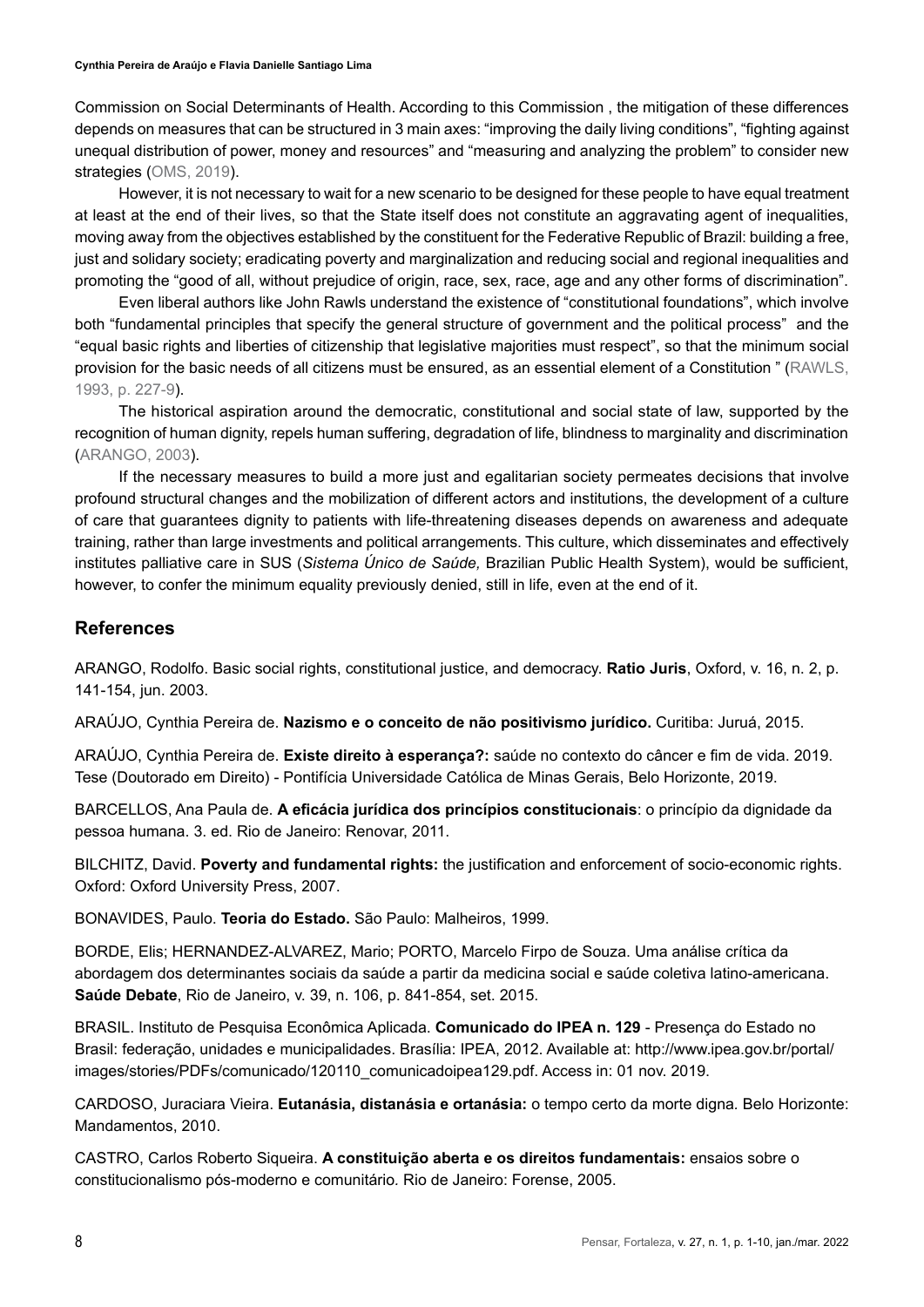Commission on Social Determinants of Health. According to this Commission , the mitigation of these differences depends on measures that can be structured in 3 main axes: "improving the daily living conditions", "fighting against unequal distribution of power, money and resources" and "measuring and analyzing the problem" to consider new strategies (OMS, 2019).

However, it is not necessary to wait for a new scenario to be designed for these people to have equal treatment at least at the end of their lives, so that the State itself does not constitute an aggravating agent of inequalities, moving away from the objectives established by the constituent for the Federative Republic of Brazil: building a free, just and solidary society; eradicating poverty and marginalization and reducing social and regional inequalities and promoting the "good of all, without prejudice of origin, race, sex, race, age and any other forms of discrimination".

Even liberal authors like John Rawls understand the existence of "constitutional foundations", which involve both "fundamental principles that specify the general structure of government and the political process" and the "equal basic rights and liberties of citizenship that legislative majorities must respect", so that the minimum social provision for the basic needs of all citizens must be ensured, as an essential element of a Constitution " (RAWLS, 1993, p. 227-9).

The historical aspiration around the democratic, constitutional and social state of law, supported by the recognition of human dignity, repels human suffering, degradation of life, blindness to marginality and discrimination (ARANGO, 2003).

If the necessary measures to build a more just and egalitarian society permeates decisions that involve profound structural changes and the mobilization of different actors and institutions, the development of a culture of care that guarantees dignity to patients with life-threatening diseases depends on awareness and adequate training, rather than large investments and political arrangements. This culture, which disseminates and effectively institutes palliative care in SUS (*Sistema Único de Saúde,* Brazilian Public Health System), would be sufficient, however, to confer the minimum equality previously denied, still in life, even at the end of it.

#### **References**

ARANGO, Rodolfo. Basic social rights, constitutional justice, and democracy. **Ratio Juris**, Oxford, v. 16, n. 2, p. 141-154, jun. 2003.

ARAÚJO, Cynthia Pereira de. **Nazismo e o conceito de não positivismo jurídico.** Curitiba: Juruá, 2015.

ARAÚJO, Cynthia Pereira de. **Existe direito à esperança?:** saúde no contexto do câncer e fim de vida. 2019. Tese (Doutorado em Direito) - Pontifícia Universidade Católica de Minas Gerais, Belo Horizonte, 2019.

BARCELLOS, Ana Paula de. **A eficácia jurídica dos princípios constitucionais**: o princípio da dignidade da pessoa humana. 3. ed. Rio de Janeiro: Renovar, 2011.

BILCHITZ, David. **Poverty and fundamental rights:** the justification and enforcement of socio-economic rights. Oxford: Oxford University Press, 2007.

BONAVIDES, Paulo. **Teoria do Estado.** São Paulo: Malheiros, 1999.

BORDE, Elis; HERNANDEZ-ALVAREZ, Mario; PORTO, Marcelo Firpo de Souza. Uma análise crítica da abordagem dos determinantes sociais da saúde a partir da medicina social e saúde coletiva latino-americana. **Saúde Debate**, Rio de Janeiro, v. 39, n. 106, p. 841-854, set. 2015.

BRASIL. Instituto de Pesquisa Econômica Aplicada. **Comunicado do IPEA n. 129** - Presença do Estado no Brasil: federação, unidades e municipalidades. Brasília: IPEA, 2012. Available at: http://www.ipea.gov.br/portal/ images/stories/PDFs/comunicado/120110\_comunicadoipea129.pdf. Access in: 01 nov. 2019.

CARDOSO, Juraciara Vieira. **Eutanásia, distanásia e ortanásia:** o tempo certo da morte digna*.* Belo Horizonte: Mandamentos, 2010.

CASTRO, Carlos Roberto Siqueira. **A constituição aberta e os direitos fundamentais:** ensaios sobre o constitucionalismo pós-moderno e comunitário*.* Rio de Janeiro: Forense, 2005.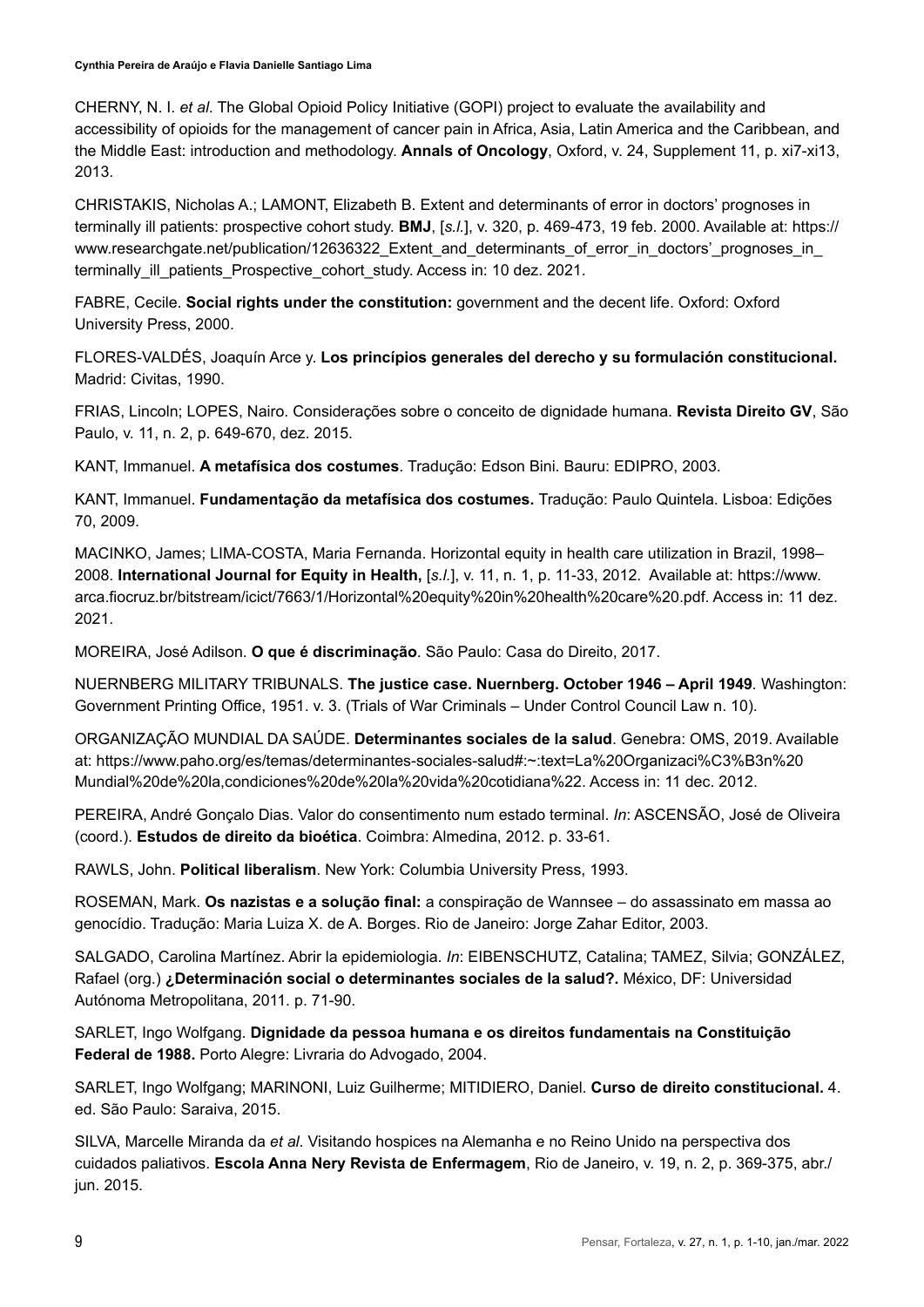CHERNY, N. I. *et al*. The Global Opioid Policy Initiative (GOPI) project to evaluate the availability and accessibility of opioids for the management of cancer pain in Africa, Asia, Latin America and the Caribbean, and the Middle East: introduction and methodology. **Annals of Oncology**, Oxford, v. 24, Supplement 11, p. xi7-xi13, 2013.

CHRISTAKIS, Nicholas A.; LAMONT, Elizabeth B. Extent and determinants of error in doctors' prognoses in terminally ill patients: prospective cohort study. **BMJ**, [*s.l.*], v. 320, p. 469-473, 19 feb. 2000. Available at: https:// www.researchgate.net/publication/12636322\_Extent\_and\_determinants\_of\_error\_in\_doctors'\_prognoses\_in\_ terminally\_ill\_patients\_Prospective\_cohort\_study. Access in: 10 dez. 2021.

FABRE, Cecile. **Social rights under the constitution:** government and the decent life. Oxford: Oxford University Press, 2000.

FLORES-VALDÉS, Joaquín Arce y. **Los princípios generales del derecho y su formulación constitucional.** Madrid: Civitas, 1990.

FRIAS, Lincoln; LOPES, Nairo. Considerações sobre o conceito de dignidade humana. **Revista Direito GV**, São Paulo, v. 11, n. 2, p. 649-670, dez. 2015.

KANT, Immanuel. **A metafísica dos costumes**. Tradução: Edson Bini. Bauru: EDIPRO, 2003.

KANT, Immanuel. **Fundamentação da metafísica dos costumes.** Tradução: Paulo Quintela. Lisboa: Edições 70, 2009.

MACINKO, James; LIMA-COSTA, Maria Fernanda. Horizontal equity in health care utilization in Brazil, 1998– 2008. **International Journal for Equity in Health,** [*s.l.*], v. 11, n. 1, p. 11-33, 2012. Available at: https://www. arca.fiocruz.br/bitstream/icict/7663/1/Horizontal%20equity%20in%20health%20care%20.pdf. Access in: 11 dez. 2021.

MOREIRA, José Adilson. **O que é discriminação**. São Paulo: Casa do Direito, 2017.

NUERNBERG MILITARY TRIBUNALS. **The justice case. Nuernberg. October 1946 – April 1949***.* Washington: Government Printing Office, 1951. v. 3. (Trials of War Criminals – Under Control Council Law n. 10).

ORGANIZAÇÃO MUNDIAL DA SAÚDE. **Determinantes sociales de la salud**. Genebra: OMS, 2019. Available at: https://www.paho.org/es/temas/determinantes-sociales-salud#:~:text=La%20Organizaci%C3%B3n%20 Mundial%20de%20la,condiciones%20de%20la%20vida%20cotidiana%22. Access in: 11 dec. 2012.

PEREIRA, André Gonçalo Dias. Valor do consentimento num estado terminal. *In*: ASCENSÃO, José de Oliveira (coord.). **Estudos de direito da bioética**. Coimbra: Almedina, 2012. p. 33-61.

RAWLS, John. **Political liberalism**. New York: Columbia University Press, 1993.

ROSEMAN, Mark. **Os nazistas e a solução final:** a conspiração de Wannsee – do assassinato em massa ao genocídio. Tradução: Maria Luiza X. de A. Borges. Rio de Janeiro: Jorge Zahar Editor, 2003.

SALGADO, Carolina Martínez. Abrir la epidemiologia. *In*: EIBENSCHUTZ, Catalina; TAMEZ, Silvia; GONZÁLEZ, Rafael (org.) **¿Determinación social o determinantes sociales de la salud?.** México, DF: Universidad Autónoma Metropolitana, 2011. p. 71-90.

SARLET, Ingo Wolfgang. **Dignidade da pessoa humana e os direitos fundamentais na Constituição Federal de 1988.** Porto Alegre: Livraria do Advogado, 2004.

SARLET, Ingo Wolfgang; MARINONI, Luiz Guilherme; MITIDIERO, Daniel. **Curso de direito constitucional.** 4. ed. São Paulo: Saraiva, 2015.

SILVA, Marcelle Miranda da *et al*. Visitando hospices na Alemanha e no Reino Unido na perspectiva dos cuidados paliativos. **Escola Anna Nery Revista de Enfermagem**, Rio de Janeiro, v. 19, n. 2, p. 369-375, abr./ jun. 2015.